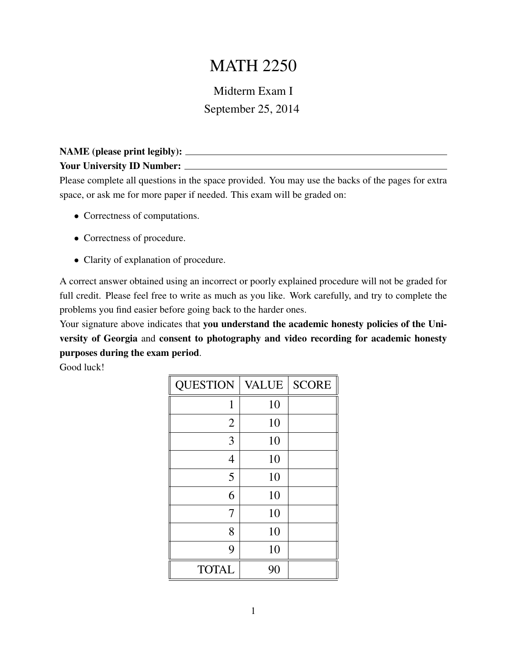## MATH 2250

## Midterm Exam I September 25, 2014

## NAME (please print legibly): Your University ID Number: \_\_\_\_\_\_\_\_

Please complete all questions in the space provided. You may use the backs of the pages for extra space, or ask me for more paper if needed. This exam will be graded on:

- Correctness of computations.
- Correctness of procedure.
- Clarity of explanation of procedure.

A correct answer obtained using an incorrect or poorly explained procedure will not be graded for full credit. Please feel free to write as much as you like. Work carefully, and try to complete the problems you find easier before going back to the harder ones.

Your signature above indicates that you understand the academic honesty policies of the University of Georgia and consent to photography and video recording for academic honesty purposes during the exam period.

Good luck!

| <b>QUESTION</b> | <b>VALUE</b> | <b>SCORE</b> |
|-----------------|--------------|--------------|
| 1               | 10           |              |
| $\overline{2}$  | 10           |              |
| 3               | 10           |              |
| 4               | 10           |              |
| 5               | 10           |              |
| 6               | 10           |              |
| 7               | 10           |              |
| 8               | 10           |              |
| 9               | 10           |              |
| <b>TOTAL</b>    | 90           |              |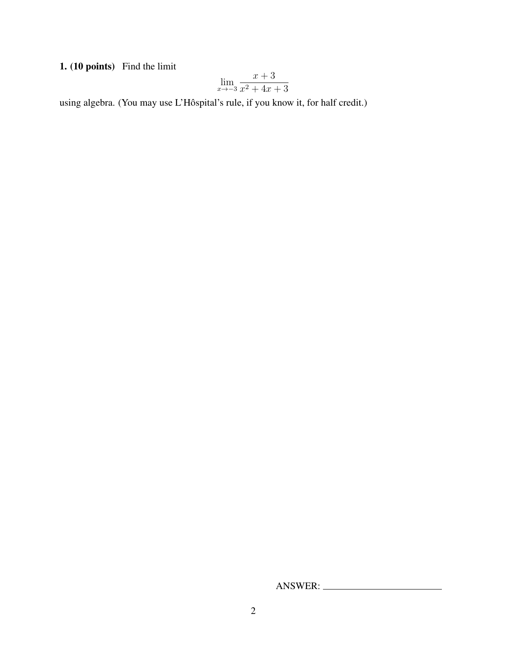1. (10 points) Find the limit

$$
\lim_{x \to -3} \frac{x+3}{x^2+4x+3}
$$

using algebra. (You may use L'Hôspital's rule, if you know it, for half credit.)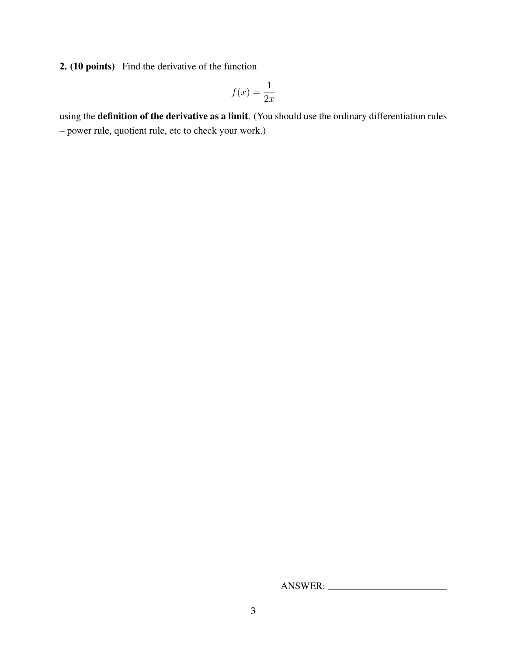2. (10 points) Find the derivative of the function

$$
f(x) = \frac{1}{2x}
$$

using the definition of the derivative as a limit. (You should use the ordinary differentiation rules – power rule, quotient rule, etc to check your work.)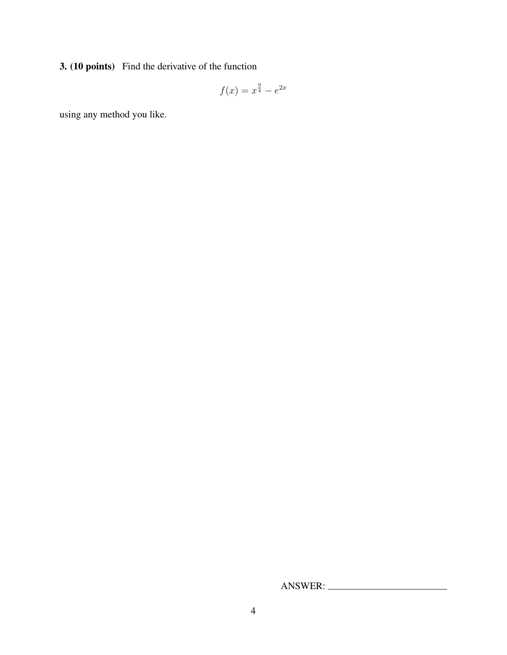3. (10 points) Find the derivative of the function

$$
f(x) = x^{\frac{9}{4}} - e^{2x}
$$

using any method you like.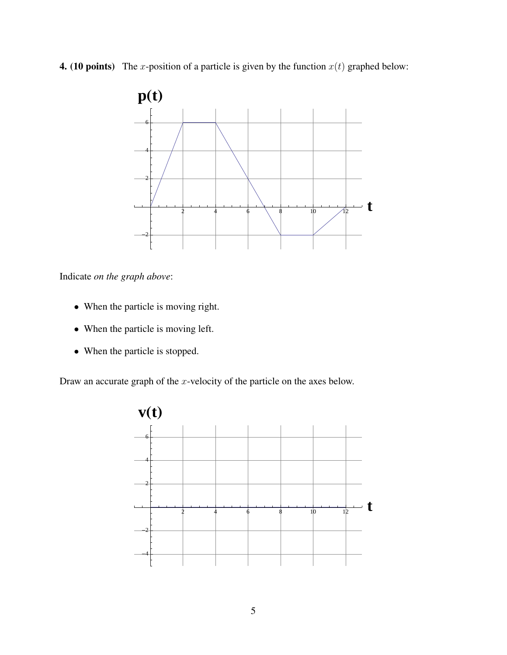**4.** (10 points) The x-position of a particle is given by the function  $x(t)$  graphed below:



Indicate *on the graph above*:

- When the particle is moving right.
- When the particle is moving left.
- When the particle is stopped.

Draw an accurate graph of the  $x$ -velocity of the particle on the axes below.

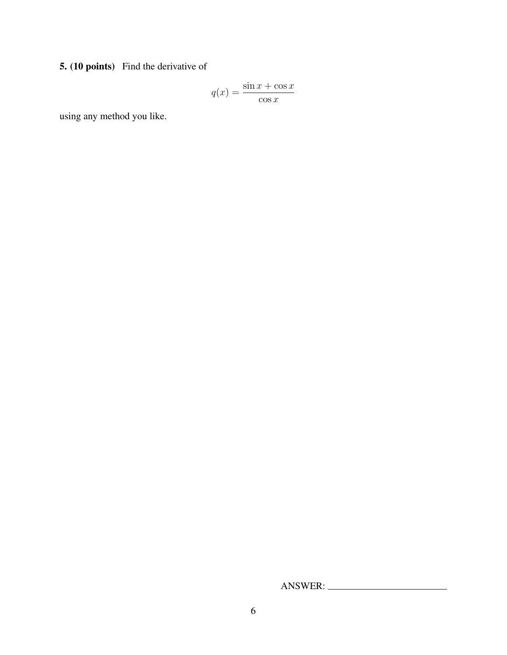5. (10 points) Find the derivative of

$$
q(x) = \frac{\sin x + \cos x}{\cos x}
$$

using any method you like.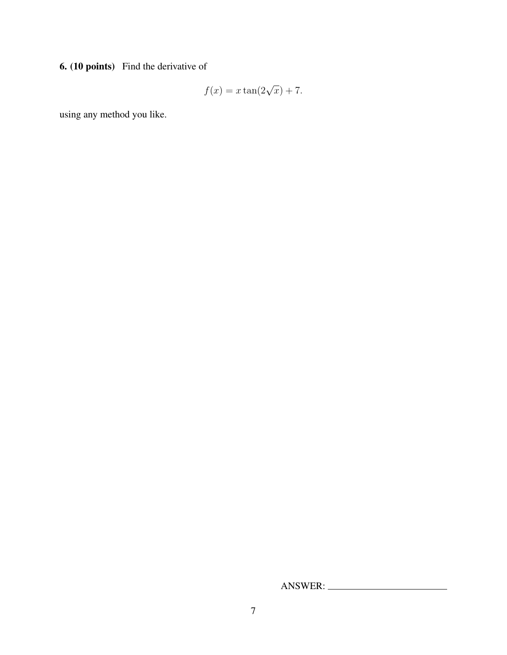6. (10 points) Find the derivative of

$$
f(x) = x \tan(2\sqrt{x}) + 7.
$$

using any method you like.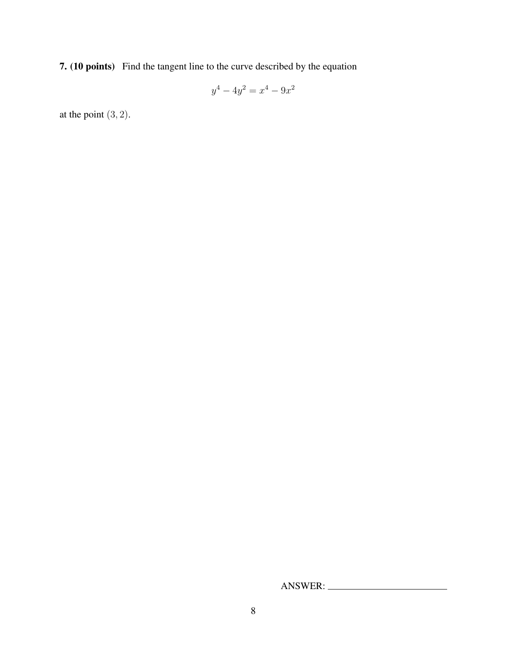7. (10 points) Find the tangent line to the curve described by the equation

$$
y^4 - 4y^2 = x^4 - 9x^2
$$

at the point  $(3, 2)$ .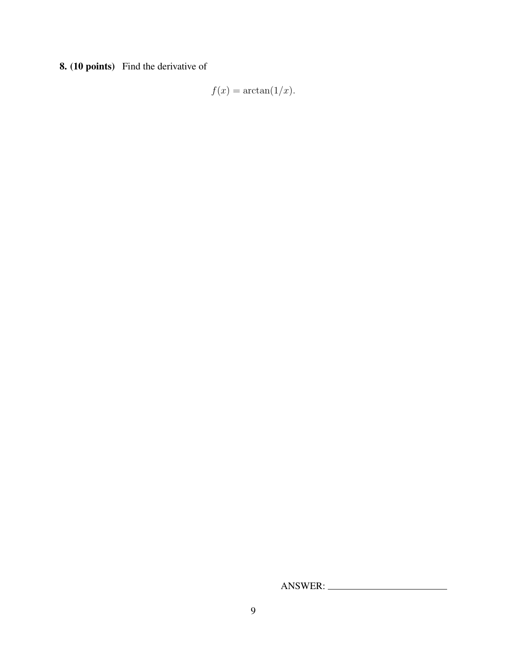8. (10 points) Find the derivative of

$$
f(x) = \arctan(1/x).
$$